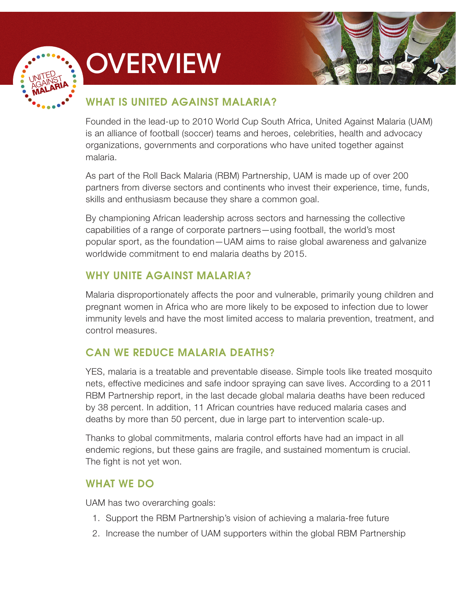

# **OVERVIEW**



## WHAT IS UNITED AGAINST MALARIA?

Founded in the lead-up to 2010 World Cup South Africa, United Against Malaria (UAM) is an alliance of football (soccer) teams and heroes, celebrities, health and advocacy organizations, governments and corporations who have united together against malaria.

As part of the Roll Back Malaria (RBM) Partnership, UAM is made up of over 200 partners from diverse sectors and continents who invest their experience, time, funds, skills and enthusiasm because they share a common goal.

By championing African leadership across sectors and harnessing the collective capabilities of a range of corporate partners—using football, the world's most popular sport, as the foundation—UAM aims to raise global awareness and galvanize worldwide commitment to end malaria deaths by 2015.

## WHY UNITE AGAINST MALARIA?

Malaria disproportionately affects the poor and vulnerable, primarily young children and pregnant women in Africa who are more likely to be exposed to infection due to lower immunity levels and have the most limited access to malaria prevention, treatment, and control measures.

# CAN WE REDUCE MALARIA DEATHS?

YES, malaria is a treatable and preventable disease. Simple tools like treated mosquito nets, effective medicines and safe indoor spraying can save lives. According to a 2011 RBM Partnership report, in the last decade global malaria deaths have been reduced by 38 percent. In addition, 11 African countries have reduced malaria cases and deaths by more than 50 percent, due in large part to intervention scale-up.

Thanks to global commitments, malaria control efforts have had an impact in all endemic regions, but these gains are fragile, and sustained momentum is crucial. The fight is not yet won.

### WHAT WE DO

UAM has two overarching goals:

- 1. Support the RBM Partnership's vision of achieving a malaria-free future
- 2. Increase the number of UAM supporters within the global RBM Partnership